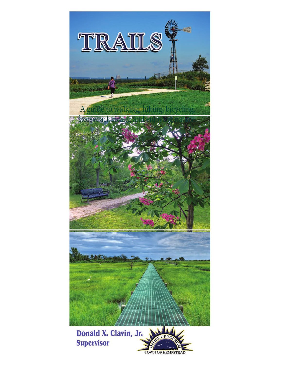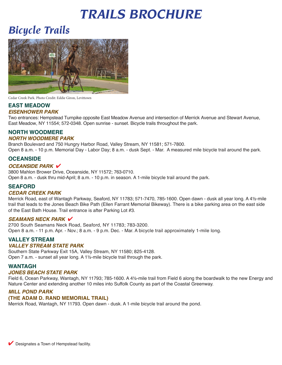# *TRAILS BROCHURE*

## *Bicycle Trails*



Cedar Creek Park. Photo Credit: Eddie Giron, Levittown

#### **EAST MEADOW**  *EISENHOWER PARK*

Two entrances: Hempstead Turnpike opposite East Meadow Avenue and intersection of Merrick Avenue and Stewart Avenue, East Meadow, NY 11554; 572-0348. Open sunrise - sunset. Bicycle trails throughout the park.

#### **NORTH WOODMERE**  *NORTH WOODMERE PARK*

Branch Boulevard and 750 Hungry Harbor Road, Valley Stream, NY 11581; 571-7800.

Open 8 a.m. - 10 p.m. Memorial Day - Labor Day; 8 a.m. - dusk Sept. - Mar. A measured mile bicycle trail around the park.

#### **OCEANSIDE**

#### *OCEANSIDE PARK V*

3800 Mahlon Brower Drive, Oceanside, NY 11572; 763-0710. Open 8 a.m. - dusk thru mid-April; 8 a.m. - 10 p.m. in season. A 1-mile bicycle trail around the park.

#### **SEAFORD**

#### *CEDAR CREEK PARK*

Merrick Road, east of Wantagh Parkway, Seaford, NY 11783; 571-7470, 785-1600. Open dawn - dusk all year long. A 4½-mile trail that leads to the Jones Beach Bike Path (Ellen Farrant Memorial Bikeway). There is a bike parking area on the east side of the East Bath House. Trail entrance is after Parking Lot #3.

#### **SEAMANS NECK PARK V**

2700 South Seamans Neck Road, Seaford, NY 11783; 783-3200. Open 8 a.m. - 11 p.m. Apr. - Nov.; 8 a.m. - 9 p.m. Dec. - Mar. A bicycle trail approximately 1-mile long.

#### **VALLEY STREAM**

#### *VALLEY STREAM STATE PARK*

Southern State Parkway Exit 15A, Valley Stream, NY 11580; 825-4128. Open 7 a.m. - sunset all year long. A 1½-mile bicycle trail through the park.

#### **WANTAGH**

#### *JONES BEACH STATE PARK*

Field 6, Ocean Parkway, Wantagh, NY 11793; 785-1600. A 4½-mile trail from Field 6 along the boardwalk to the new Energy and Nature Center and extending another 10 miles into Suffolk County as part of the Coastal Greenway.

#### *MILL POND PARK*

#### **(THE ADAM D. RAND MEMORIAL TRAIL)**

Merrick Road, Wantagh, NY 11793. Open dawn - dusk. A 1-mile bicycle trail around the pond.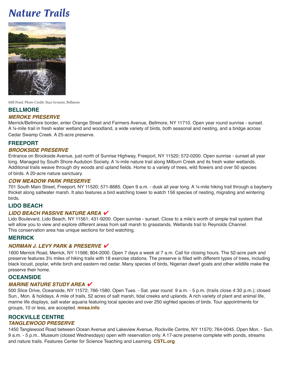## *Nature Trails*



Mill Pond. Photo Credit: Staci Scwartz, Bellmore

### **BELLMORE**

#### *MEROKE PRESERVE*

Merrick/Bellmore border, enter Orange Street and Farmers Avenue, Bellmore, NY 11710. Open year round sunrise - sunset. A ¼-mile trail in fresh water wetland and woodland, a wide variety of birds, both seasonal and nesting, and a bridge across Cedar Swamp Creek. A 25-acre preserve.

#### **FREEPORT**

#### *BROOKSIDE PRESERVE*

Entrance on Brookside Avenue, just north of Sunrise Highway, Freeport, NY 11520; 572-0200. Open sunrise - sunset all year long. Managed by South Shore Audubon Society. A ¼-mile nature trail along Milburn Creek and its fresh water wetlands. Additional trails weave through dry woods and upland fields. Home to a variety of trees, wild flowers and over 50 species of birds. A 20-acre nature sanctuary.

#### *COW MEADOW PARK PRESERVE*

701 South Main Street, Freeport, NY 11520; 571-8685. Open 9 a.m. - dusk all year long. A ¼-mile hiking trail through a bayberry thicket along saltwater marsh. It also features a bird watching tower to watch 156 species of nesting, migrating and wintering birds.

#### **LIDO BEACH**

#### **LIDO BEACH PASSIVE NATURE AREA V**

Lido Boulevard, Lido Beach, NY 11561; 431-9200. Open sunrise - sunset. Close to a mile's worth of simple trail system that will allow you to view and explore different areas from salt marsh to grasslands. Wetlands trail to Reynolds Channel. This conservation area has unique sections for bird watching.

#### **MERRICK**

#### *NORMAN J. LEVY PARK & PRESERVE* 4

1600 Merrick Road, Merrick, NY 11566; 804-2000. Open 7 days a week at 7 a.m. Call for closing hours. The 52-acre park and preserve features 3½ miles of hiking trails with 18 exercise stations. The preserve is filled with different types of trees, including black locust, poplar, white birch and eastern red cedar. Many species of birds, Nigerian dwarf goats and other wildlife make the preserve their home.

#### **OCEANSIDE**

#### *MARINE NATURE STUDY AREA* 4

500 Slice Drive, Oceanside, NY 11572; 766-1580. Open Tues. - Sat. year round 9 a.m. - 5 p.m. (trails close 4:30 p.m.); closed Sun., Mon. & holidays. A mile of trails, 52 acres of salt marsh, tidal creeks and uplands. A rich variety of plant and animal life, marine life displays, salt water aquaria featuring local species and over 250 sighted species of birds. Tour appointments for groups, 10 or less, are accepted. **mnsa.info** 

#### **ROCKVILLE CENTRE**  *TANGLEWOOD PRESERVE*

1450 Tanglewood Road between Ocean Avenue and Lakeview Avenue, Rockville Centre, NY 11570; 764-0045. Open Mon. - Sun. 9 a.m. - 5 p.m.. Museum (closed Wednesdays) open with reservation only. A 17-acre preserve complete with ponds, streams and nature trails. Features Center for Science Teaching and Learning. **CSTL.org**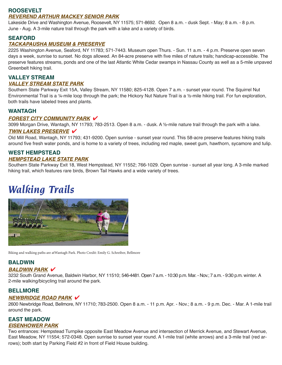#### **ROOSEVELT**

#### *REVEREND ARTHUR MACKEY SENIOR PARK*

 Lakeside Drive and Washington Avenue, Roosevelt, NY 11575; 571-8692. Open 8 a.m. - dusk Sept. - May; 8 a.m. - 8 p.m. June - Aug. A 3-mile nature trail through the park with a lake and a variety of birds.

#### **SEAFORD**

#### *TACKAPAUSHA MUSEUM & PRESERVE*

 days a week, sunrise to sunset. No dogs allowed. An 84-acre preserve with five miles of nature trails; handicap-accessible. The preserve features streams, ponds and one of the last Atlantic White Cedar swamps in Nassau County as well as a 5-mile unpaved 2225 Washington Avenue, Seaford, NY 11783; 571-7443. Museum open Thurs. - Sun. 11 a.m. - 4 p.m. Preserve open seven Greenbelt hiking trail.

#### **VALLEY STREAM**  *VALLEY STREAM STATE PARK*

Southern State Parkway Exit 15A, Valley Stream, NY 11580; 825-4128. Open 7 a.m. - sunset year round. The Squirrel Nut Environmental Trail is a ¼-mile loop through the park; the Hickory Nut Nature Trail is a ½-mile hiking trail. For fun exploration, both trails have labeled trees and plants.

#### **WANTAGH**

#### **FOREST CITY COMMUNITY PARK V**

3099 Morgan Drive, Wantagh, NY 11793; 783-2513. Open 8 a.m. - dusk. A ½-mile nature trail through the park with a lake.

#### *TWIN LAKES PRESERVE* 4

Old Mill Road, Wantagh, NY 11793; 431-9200. Open sunrise - sunset year round. This 58-acre preserve features hiking trails around five fresh water ponds, and is home to a variety of trees, including red maple, sweet gum, hawthorn, sycamore and tulip.

#### **WEST HEMPSTEAD**  *HEMPSTEAD LAKE STATE PARK*

Southern State Parkway Exit 18, West Hempstead, NY 11552; 766-1029. Open sunrise - sunset all year long. A 3-mile marked hiking trail, which features rare birds, Brown Tail Hawks and a wide variety of trees.

## *Walking Trails*



Biking and walking paths are atWantagh Park. Photo Credit: Emily G. Schreiber, Bellmore

#### **BALDWIN**

#### **BALDWIN PARK V**

 3232 South Grand Avenue, Baldwin Harbor, NY 11510; 546-4481. Open 7 a.m. - 10:30 p.m. Mar. - Nov.; 7 a.m. - 9:30 p.m. winter. A 2-mile walking/bicycling trail around the park.

#### **BELLMORE**

#### *NEWBRIDGE ROAD PARK* 4

 2600 Newbridge Road, Bellmore, NY 11710; 783-2500. Open 8 a.m. - 11 p.m. Apr. - Nov.; 8 a.m. - 9 p.m. Dec. - Mar. A 1-mile trail around the park.

#### **EAST MEADOW**  *EISENHOWER PARK*

Two entrances: Hempstead Turnpike opposite East Meadow Avenue and intersection of Merrick Avenue, and Stewart Avenue, East Meadow, NY 11554; 572-0348. Open sunrise to sunset year round. A 1-mile trail (white arrows) and a 3-mile trail (red arrows); both start by Parking Field #2 in front of Field House building.